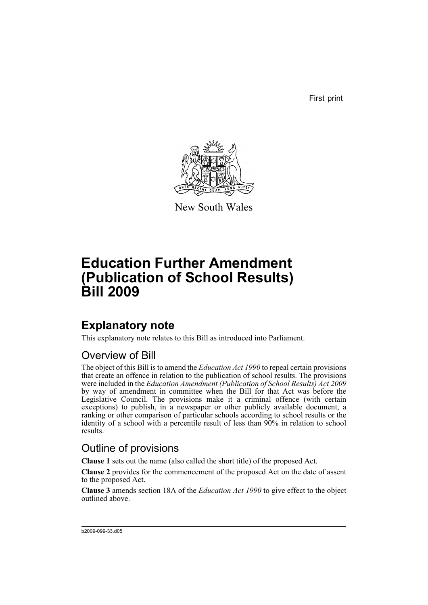First print



New South Wales

# **Education Further Amendment (Publication of School Results) Bill 2009**

## **Explanatory note**

This explanatory note relates to this Bill as introduced into Parliament.

#### Overview of Bill

The object of this Bill is to amend the *Education Act 1990* to repeal certain provisions that create an offence in relation to the publication of school results. The provisions were included in the *Education Amendment (Publication of School Results) Act 2009* by way of amendment in committee when the Bill for that Act was before the Legislative Council. The provisions make it a criminal offence (with certain exceptions) to publish, in a newspaper or other publicly available document, a ranking or other comparison of particular schools according to school results or the identity of a school with a percentile result of less than 90% in relation to school results.

#### Outline of provisions

**Clause 1** sets out the name (also called the short title) of the proposed Act.

**Clause 2** provides for the commencement of the proposed Act on the date of assent to the proposed Act.

**Clause 3** amends section 18A of the *Education Act 1990* to give effect to the object outlined above.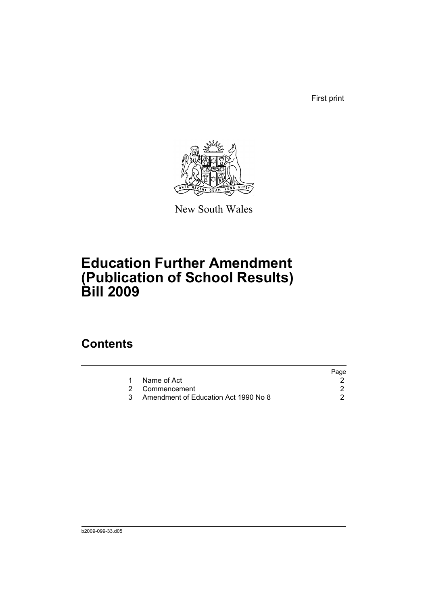First print



New South Wales

# **Education Further Amendment (Publication of School Results) Bill 2009**

### **Contents**

|                                      | Page |
|--------------------------------------|------|
|                                      |      |
|                                      |      |
| Amendment of Education Act 1990 No 8 |      |
|                                      |      |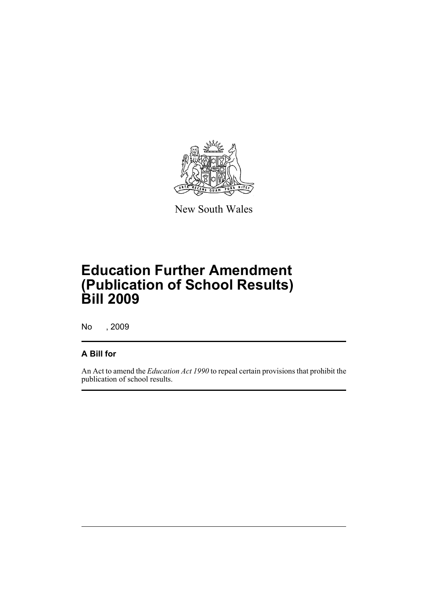

New South Wales

# **Education Further Amendment (Publication of School Results) Bill 2009**

No , 2009

#### **A Bill for**

An Act to amend the *Education Act 1990* to repeal certain provisions that prohibit the publication of school results.